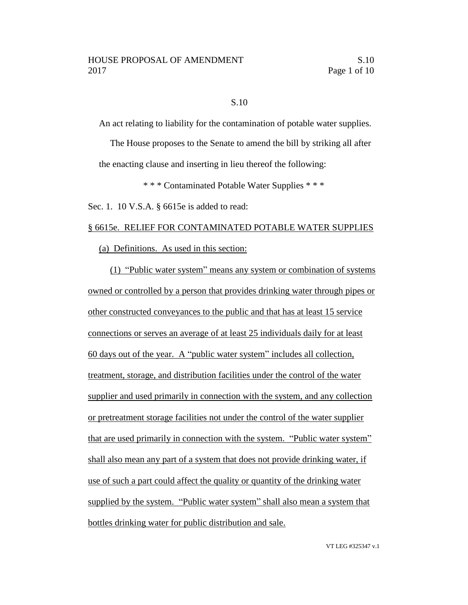## S.10

An act relating to liability for the contamination of potable water supplies.

The House proposes to the Senate to amend the bill by striking all after the enacting clause and inserting in lieu thereof the following:

\* \* \* Contaminated Potable Water Supplies \* \* \*

Sec. 1. 10 V.S.A. § 6615e is added to read:

### § 6615e. RELIEF FOR CONTAMINATED POTABLE WATER SUPPLIES

(a) Definitions. As used in this section:

(1) "Public water system" means any system or combination of systems owned or controlled by a person that provides drinking water through pipes or other constructed conveyances to the public and that has at least 15 service connections or serves an average of at least 25 individuals daily for at least 60 days out of the year. A "public water system" includes all collection, treatment, storage, and distribution facilities under the control of the water supplier and used primarily in connection with the system, and any collection or pretreatment storage facilities not under the control of the water supplier that are used primarily in connection with the system. "Public water system" shall also mean any part of a system that does not provide drinking water, if use of such a part could affect the quality or quantity of the drinking water supplied by the system. "Public water system" shall also mean a system that bottles drinking water for public distribution and sale.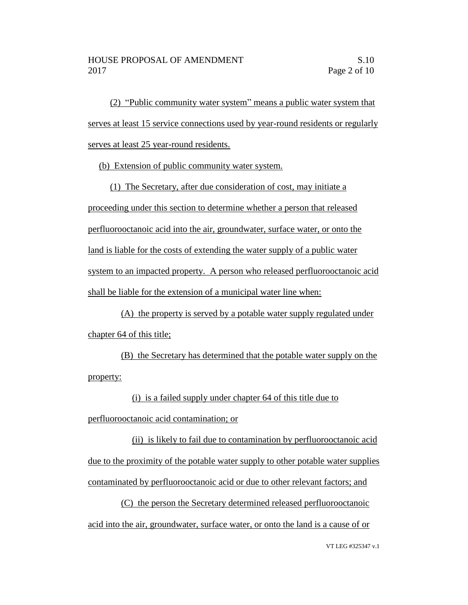(2) "Public community water system" means a public water system that serves at least 15 service connections used by year-round residents or regularly serves at least 25 year-round residents.

(b) Extension of public community water system.

(1) The Secretary, after due consideration of cost, may initiate a proceeding under this section to determine whether a person that released perfluorooctanoic acid into the air, groundwater, surface water, or onto the land is liable for the costs of extending the water supply of a public water system to an impacted property. A person who released perfluorooctanoic acid shall be liable for the extension of a municipal water line when:

(A) the property is served by a potable water supply regulated under chapter 64 of this title;

(B) the Secretary has determined that the potable water supply on the property:

(i) is a failed supply under chapter 64 of this title due to

perfluorooctanoic acid contamination; or

(ii) is likely to fail due to contamination by perfluorooctanoic acid due to the proximity of the potable water supply to other potable water supplies contaminated by perfluorooctanoic acid or due to other relevant factors; and

(C) the person the Secretary determined released perfluorooctanoic acid into the air, groundwater, surface water, or onto the land is a cause of or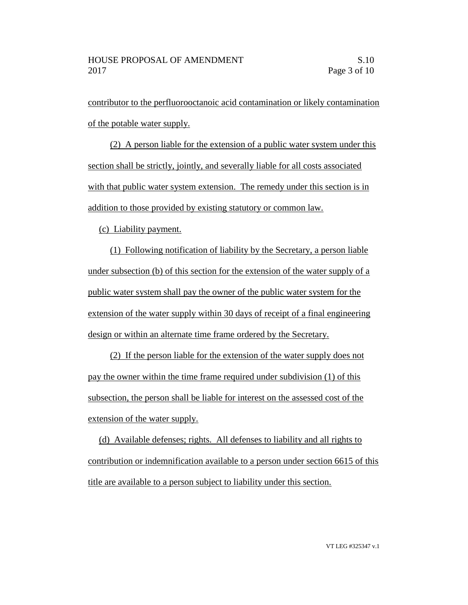contributor to the perfluorooctanoic acid contamination or likely contamination of the potable water supply.

(2) A person liable for the extension of a public water system under this section shall be strictly, jointly, and severally liable for all costs associated with that public water system extension. The remedy under this section is in addition to those provided by existing statutory or common law.

(c) Liability payment.

(1) Following notification of liability by the Secretary, a person liable under subsection (b) of this section for the extension of the water supply of a public water system shall pay the owner of the public water system for the extension of the water supply within 30 days of receipt of a final engineering design or within an alternate time frame ordered by the Secretary.

(2) If the person liable for the extension of the water supply does not pay the owner within the time frame required under subdivision (1) of this subsection, the person shall be liable for interest on the assessed cost of the extension of the water supply.

(d) Available defenses; rights. All defenses to liability and all rights to contribution or indemnification available to a person under section 6615 of this title are available to a person subject to liability under this section.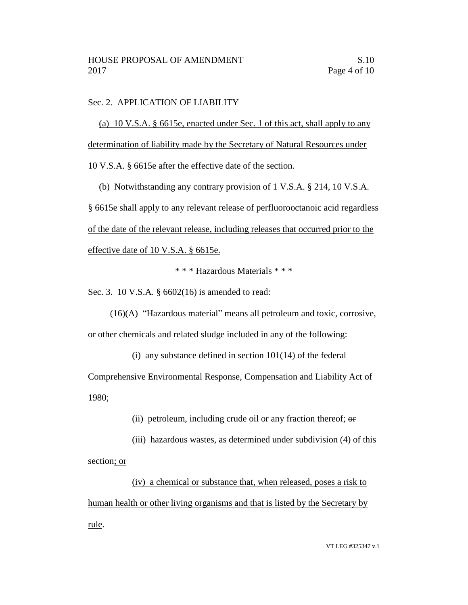# Sec. 2. APPLICATION OF LIABILITY

(a) 10 V.S.A. § 6615e, enacted under Sec. 1 of this act, shall apply to any determination of liability made by the Secretary of Natural Resources under

10 V.S.A. § 6615e after the effective date of the section.

(b) Notwithstanding any contrary provision of 1 V.S.A. § 214, 10 V.S.A. § 6615e shall apply to any relevant release of perfluorooctanoic acid regardless of the date of the relevant release, including releases that occurred prior to the effective date of 10 V.S.A. § 6615e.

\* \* \* Hazardous Materials \* \* \*

Sec. 3. 10 V.S.A. § 6602(16) is amended to read:

(16)(A) "Hazardous material" means all petroleum and toxic, corrosive, or other chemicals and related sludge included in any of the following:

(i) any substance defined in section  $101(14)$  of the federal

Comprehensive Environmental Response, Compensation and Liability Act of 1980;

(ii) petroleum, including crude oil or any fraction thereof; or

(iii) hazardous wastes, as determined under subdivision (4) of this section; or

(iv) a chemical or substance that, when released, poses a risk to human health or other living organisms and that is listed by the Secretary by rule.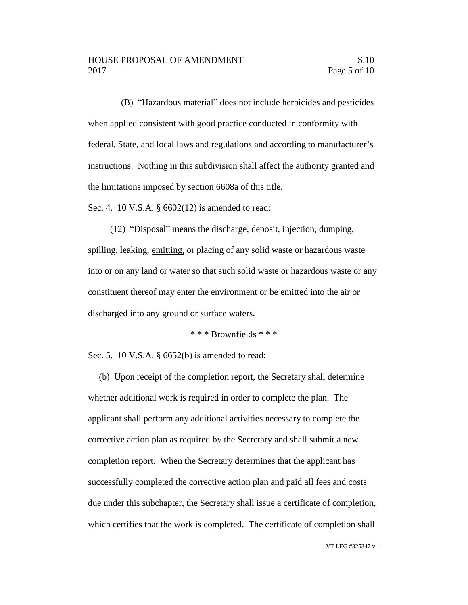(B) "Hazardous material" does not include herbicides and pesticides when applied consistent with good practice conducted in conformity with federal, State, and local laws and regulations and according to manufacturer's instructions. Nothing in this subdivision shall affect the authority granted and the limitations imposed by section 6608a of this title.

Sec. 4. 10 V.S.A. § 6602(12) is amended to read:

(12) "Disposal" means the discharge, deposit, injection, dumping, spilling, leaking, emitting, or placing of any solid waste or hazardous waste into or on any land or water so that such solid waste or hazardous waste or any constituent thereof may enter the environment or be emitted into the air or discharged into any ground or surface waters.

\* \* \* Brownfields \* \* \*

Sec. 5. 10 V.S.A. § 6652(b) is amended to read:

(b) Upon receipt of the completion report, the Secretary shall determine whether additional work is required in order to complete the plan. The applicant shall perform any additional activities necessary to complete the corrective action plan as required by the Secretary and shall submit a new completion report. When the Secretary determines that the applicant has successfully completed the corrective action plan and paid all fees and costs due under this subchapter, the Secretary shall issue a certificate of completion, which certifies that the work is completed. The certificate of completion shall

VT LEG #325347 v.1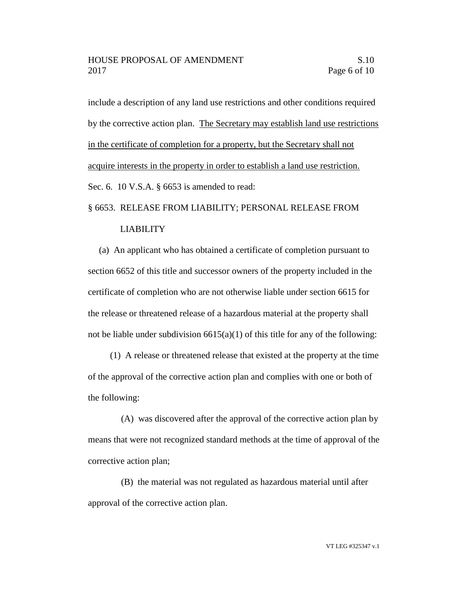include a description of any land use restrictions and other conditions required by the corrective action plan. The Secretary may establish land use restrictions in the certificate of completion for a property, but the Secretary shall not acquire interests in the property in order to establish a land use restriction. Sec. 6. 10 V.S.A. § 6653 is amended to read:

### § 6653. RELEASE FROM LIABILITY; PERSONAL RELEASE FROM

### LIABILITY

(a) An applicant who has obtained a certificate of completion pursuant to section 6652 of this title and successor owners of the property included in the certificate of completion who are not otherwise liable under section 6615 for the release or threatened release of a hazardous material at the property shall not be liable under subdivision  $6615(a)(1)$  of this title for any of the following:

(1) A release or threatened release that existed at the property at the time of the approval of the corrective action plan and complies with one or both of the following:

(A) was discovered after the approval of the corrective action plan by means that were not recognized standard methods at the time of approval of the corrective action plan;

(B) the material was not regulated as hazardous material until after approval of the corrective action plan.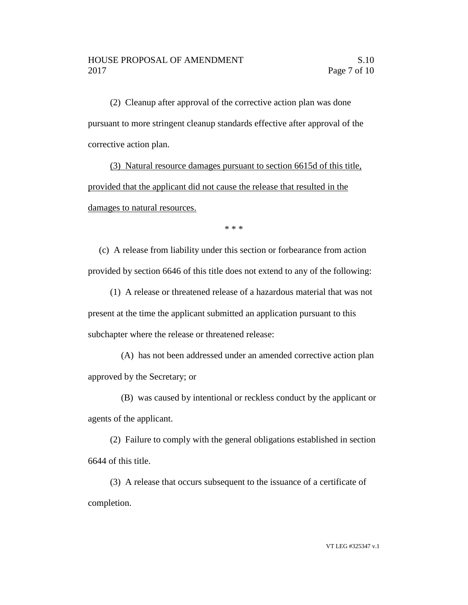(2) Cleanup after approval of the corrective action plan was done pursuant to more stringent cleanup standards effective after approval of the corrective action plan.

(3) Natural resource damages pursuant to section 6615d of this title, provided that the applicant did not cause the release that resulted in the damages to natural resources.

\* \* \*

(c) A release from liability under this section or forbearance from action provided by section 6646 of this title does not extend to any of the following:

(1) A release or threatened release of a hazardous material that was not present at the time the applicant submitted an application pursuant to this subchapter where the release or threatened release:

(A) has not been addressed under an amended corrective action plan approved by the Secretary; or

(B) was caused by intentional or reckless conduct by the applicant or agents of the applicant.

(2) Failure to comply with the general obligations established in section 6644 of this title.

(3) A release that occurs subsequent to the issuance of a certificate of completion.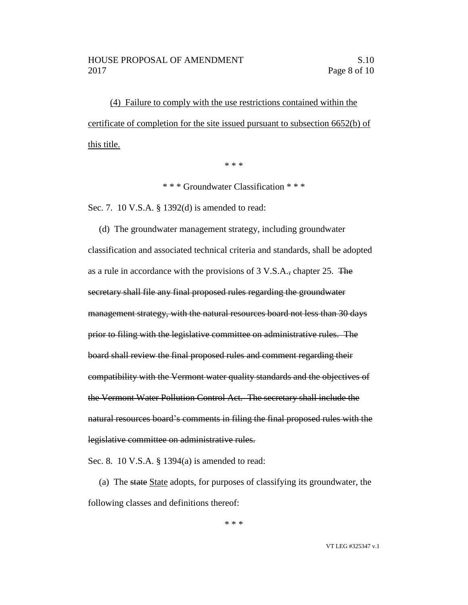(4) Failure to comply with the use restrictions contained within the certificate of completion for the site issued pursuant to subsection 6652(b) of this title.

\* \* \*

\* \* \* Groundwater Classification \* \* \*

Sec. 7. 10 V.S.A. § 1392(d) is amended to read:

(d) The groundwater management strategy, including groundwater classification and associated technical criteria and standards, shall be adopted as a rule in accordance with the provisions of 3 V.S.A., chapter 25. The secretary shall file any final proposed rules regarding the groundwater management strategy, with the natural resources board not less than 30 days prior to filing with the legislative committee on administrative rules. The board shall review the final proposed rules and comment regarding their compatibility with the Vermont water quality standards and the objectives of the Vermont Water Pollution Control Act. The secretary shall include the natural resources board's comments in filing the final proposed rules with the legislative committee on administrative rules.

Sec. 8. 10 V.S.A. § 1394(a) is amended to read:

(a) The state State adopts, for purposes of classifying its groundwater, the following classes and definitions thereof:

\* \* \*

VT LEG #325347 v.1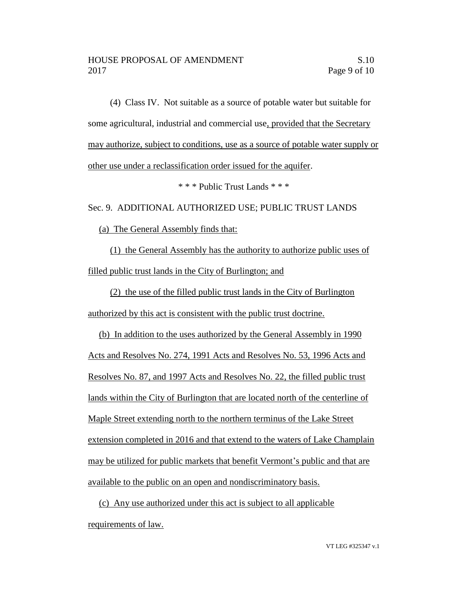(4) Class IV. Not suitable as a source of potable water but suitable for some agricultural, industrial and commercial use, provided that the Secretary may authorize, subject to conditions, use as a source of potable water supply or other use under a reclassification order issued for the aquifer.

\* \* \* Public Trust Lands \* \* \*

Sec. 9. ADDITIONAL AUTHORIZED USE; PUBLIC TRUST LANDS

(a) The General Assembly finds that:

(1) the General Assembly has the authority to authorize public uses of filled public trust lands in the City of Burlington; and

(2) the use of the filled public trust lands in the City of Burlington authorized by this act is consistent with the public trust doctrine.

(b) In addition to the uses authorized by the General Assembly in 1990 Acts and Resolves No. 274, 1991 Acts and Resolves No. 53, 1996 Acts and Resolves No. 87, and 1997 Acts and Resolves No. 22, the filled public trust lands within the City of Burlington that are located north of the centerline of Maple Street extending north to the northern terminus of the Lake Street extension completed in 2016 and that extend to the waters of Lake Champlain may be utilized for public markets that benefit Vermont's public and that are available to the public on an open and nondiscriminatory basis.

(c) Any use authorized under this act is subject to all applicable requirements of law.